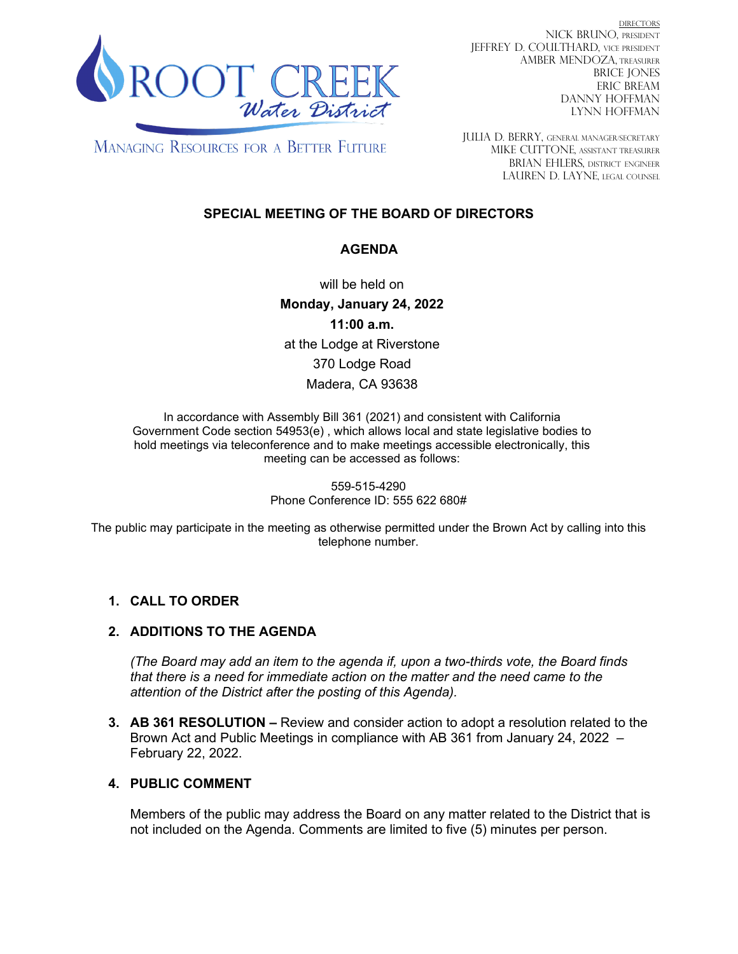

DIRECTORS NICK BRUNO, PRESIDENT JEFFREY D. COULTHARD, Vice President AMBER MENDOZA, TREASURER BRICE JONES ERIC BREAM DANNY HOFFMAN LYNN HOFFMAN

**MANAGING RESOURCES FOR A BETTER FUTURE** 

JULIA D. BERRY, GENERAL MANAGER/secretary MIKE CUTTONE, Assistant treasurer BRIAN EHLERS, DISTRICT ENGINEER LAUREN D. LAYNE, LEGAL COUNSEL

## **SPECIAL MEETING OF THE BOARD OF DIRECTORS**

## **AGENDA**

will be held on **Monday, January 24, 2022 11:00 a.m.** at the Lodge at Riverstone 370 Lodge Road Madera, CA 93638

In accordance with Assembly Bill 361 (2021) and consistent with California Government Code section 54953(e) , which allows local and state legislative bodies to hold meetings via teleconference and to make meetings accessible electronically, this meeting can be accessed as follows:

> 559-515-4290 Phone Conference ID: 555 622 680#

The public may participate in the meeting as otherwise permitted under the Brown Act by calling into this telephone number.

# **1. CALL TO ORDER**

## **2. ADDITIONS TO THE AGENDA**

*(The Board may add an item to the agenda if, upon a two-thirds vote, the Board finds that there is a need for immediate action on the matter and the need came to the attention of the District after the posting of this Agenda).*

**3. AB 361 RESOLUTION –** Review and consider action to adopt a resolution related to the Brown Act and Public Meetings in compliance with AB 361 from January 24, 2022 – February 22, 2022.

## **4. PUBLIC COMMENT**

Members of the public may address the Board on any matter related to the District that is not included on the Agenda. Comments are limited to five (5) minutes per person.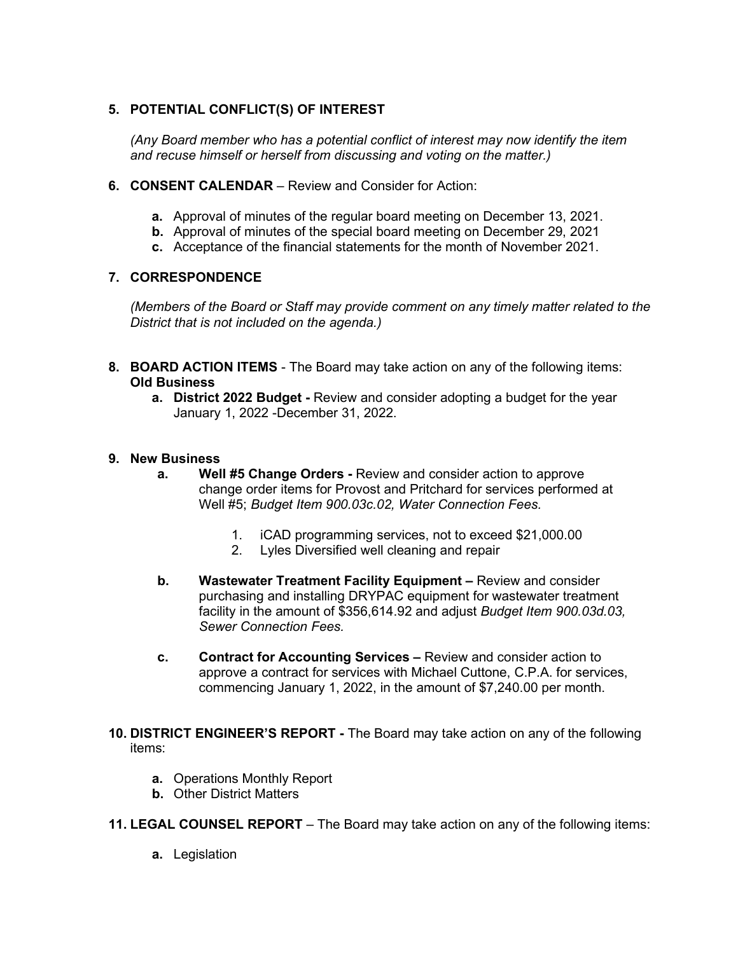## **5. POTENTIAL CONFLICT(S) OF INTEREST**

*(Any Board member who has a potential conflict of interest may now identify the item and recuse himself or herself from discussing and voting on the matter.)*

- **6. CONSENT CALENDAR** Review and Consider for Action:
	- **a.** Approval of minutes of the regular board meeting on December 13, 2021.
	- **b.** Approval of minutes of the special board meeting on December 29, 2021
	- **c.** Acceptance of the financial statements for the month of November 2021.

#### **7. CORRESPONDENCE**

*(Members of the Board or Staff may provide comment on any timely matter related to the District that is not included on the agenda.)*

- **8. BOARD ACTION ITEMS**  The Board may take action on any of the following items: **Old Business**
	- **a. District 2022 Budget -** Review and consider adopting a budget for the year January 1, 2022 -December 31, 2022.

#### **9. New Business**

- **a. Well #5 Change Orders -** Review and consider action to approve change order items for Provost and Pritchard for services performed at Well #5; *Budget Item 900.03c.02, Water Connection Fees.*
	- 1. iCAD programming services, not to exceed \$21,000.00
	- 2. Lyles Diversified well cleaning and repair
- **b. Wastewater Treatment Facility Equipment –** Review and consider purchasing and installing DRYPAC equipment for wastewater treatment facility in the amount of \$356,614.92 and adjust *Budget Item 900.03d.03, Sewer Connection Fees.*
- **c. Contract for Accounting Services –** Review and consider action to approve a contract for services with Michael Cuttone, C.P.A. for services, commencing January 1, 2022, in the amount of \$7,240.00 per month.
- **10. DISTRICT ENGINEER'S REPORT -** The Board may take action on any of the following items:
	- **a.** Operations Monthly Report
	- **b.** Other District Matters

**11. LEGAL COUNSEL REPORT** – The Board may take action on any of the following items:

**a.** Legislation